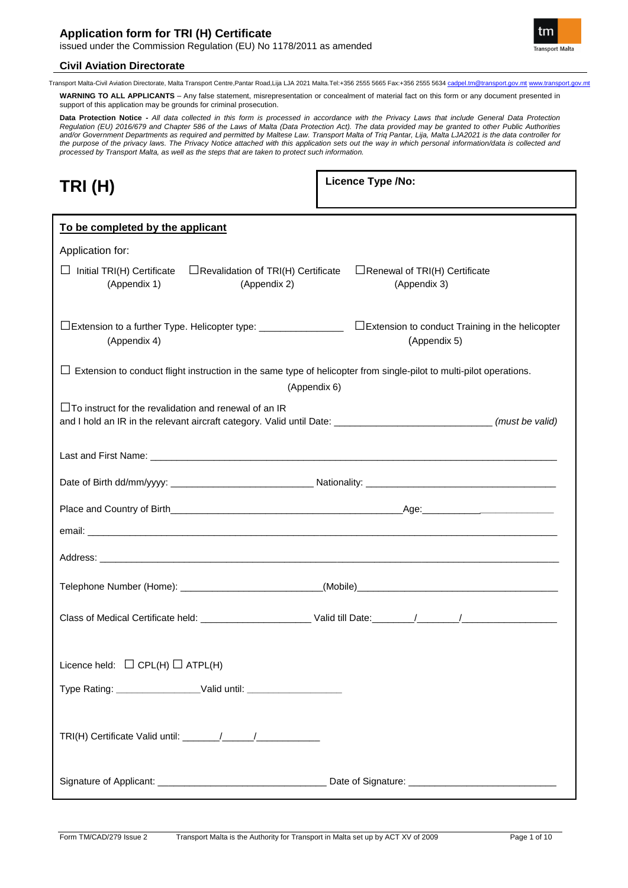

Transport Malta-Civil Aviation Directorate, Malta Transport Centre,Pantar Road,Lija LJA 2021 Malta.Tel:+356 2555 5665 Fax:+356 2555 5634 cadpel.tm@transport.gov.mt www.transport.gov.mt

**WARNING TO ALL APPLICANTS** – Any false statement, misrepresentation or concealment of material fact on this form or any document presented in support of this application may be grounds for criminal prosecution.

**Data Protection Notice -** *All data collected in this form is processed in accordance with the Privacy Laws that include General Data Protection Regulation (EU) 2016/679 and Chapter 586 of the Laws of Malta (Data Protection Act). The data provided may be granted to other Public Authorities and/or Government Departments as required and permitted by Maltese Law. Transport Malta of Triq Pantar, Lija, Malta LJA2021 is the data controller for the purpose of the privacy laws. The Privacy Notice attached with this application sets out the way in which personal information/data is collected and processed by Transport Malta, as well as the steps that are taken to protect such information.*

| TRI (H) |  |
|---------|--|
|---------|--|

**Licence Type /No:** 

| To be completed by the applicant                                                                                                                                                    |                                                      |  |  |  |
|-------------------------------------------------------------------------------------------------------------------------------------------------------------------------------------|------------------------------------------------------|--|--|--|
| Application for:                                                                                                                                                                    |                                                      |  |  |  |
| $\Box$ Initial TRI(H) Certificate<br>$\Box$ Revalidation of TRI(H) Certificate<br>(Appendix 1)<br>(Appendix 2)                                                                      | $\Box$ Renewal of TRI(H) Certificate<br>(Appendix 3) |  |  |  |
| (Appendix 4)                                                                                                                                                                        | (Appendix 5)                                         |  |  |  |
| $\Box$ Extension to conduct flight instruction in the same type of helicopter from single-pilot to multi-pilot operations.                                                          |                                                      |  |  |  |
| (Appendix 6)                                                                                                                                                                        |                                                      |  |  |  |
| $\Box$ To instruct for the revalidation and renewal of an IR<br>and I hold an IR in the relevant aircraft category. Valid until Date: ______________________________(must be valid) |                                                      |  |  |  |
|                                                                                                                                                                                     |                                                      |  |  |  |
|                                                                                                                                                                                     |                                                      |  |  |  |
|                                                                                                                                                                                     |                                                      |  |  |  |
|                                                                                                                                                                                     |                                                      |  |  |  |
|                                                                                                                                                                                     |                                                      |  |  |  |
| Telephone Number (Home): _________________________________(Mobile)__________________________________                                                                                |                                                      |  |  |  |
|                                                                                                                                                                                     |                                                      |  |  |  |
| Licence held: $\Box$ CPL(H) $\Box$ ATPL(H)                                                                                                                                          |                                                      |  |  |  |
| Type Rating: _____________________Valid until: _________________________________                                                                                                    |                                                      |  |  |  |
|                                                                                                                                                                                     |                                                      |  |  |  |
|                                                                                                                                                                                     |                                                      |  |  |  |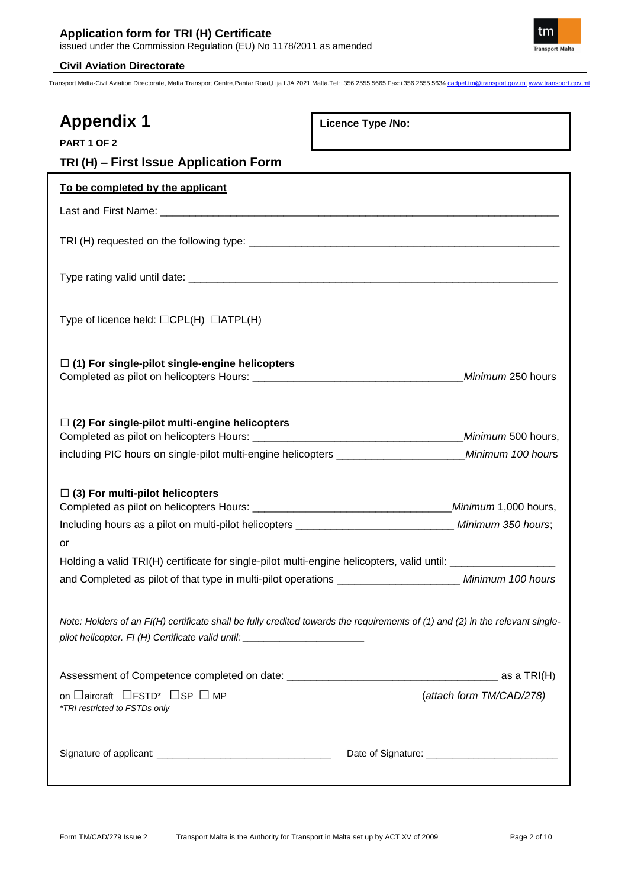

| <b>Appendix 1</b>                                                                                                                                                                                                 | Licence Type /No:        |
|-------------------------------------------------------------------------------------------------------------------------------------------------------------------------------------------------------------------|--------------------------|
| PART 1 OF 2                                                                                                                                                                                                       |                          |
| TRI (H) - First Issue Application Form                                                                                                                                                                            |                          |
| To be completed by the applicant                                                                                                                                                                                  |                          |
|                                                                                                                                                                                                                   |                          |
|                                                                                                                                                                                                                   |                          |
|                                                                                                                                                                                                                   |                          |
| Type of licence held: $\Box$ CPL(H) $\Box$ ATPL(H)                                                                                                                                                                |                          |
| $\Box$ (1) For single-pilot single-engine helicopters                                                                                                                                                             |                          |
| $\Box$ (2) For single-pilot multi-engine helicopters                                                                                                                                                              |                          |
| including PIC hours on single-pilot multi-engine helicopters __________________________Minimum 100 hours                                                                                                          |                          |
|                                                                                                                                                                                                                   |                          |
| $\Box$ (3) For multi-pilot helicopters                                                                                                                                                                            |                          |
| Including hours as a pilot on multi-pilot helicopters ________________________________ Minimum 350 hours;                                                                                                         |                          |
| or                                                                                                                                                                                                                |                          |
| Holding a valid TRI(H) certificate for single-pilot multi-engine helicopters, valid until: ___________________                                                                                                    |                          |
| and Completed as pilot of that type in multi-pilot operations _______________________ Minimum 100 hours                                                                                                           |                          |
| Note: Holders of an FI(H) certificate shall be fully credited towards the requirements of (1) and (2) in the relevant single-<br>pilot helicopter. FI (H) Certificate valid until: ______________________________ |                          |
|                                                                                                                                                                                                                   | _ as a TRI(H)            |
| on □aircraft □FSTD* □SP □ MP<br>*TRI restricted to FSTDs only                                                                                                                                                     | (attach form TM/CAD/278) |
|                                                                                                                                                                                                                   |                          |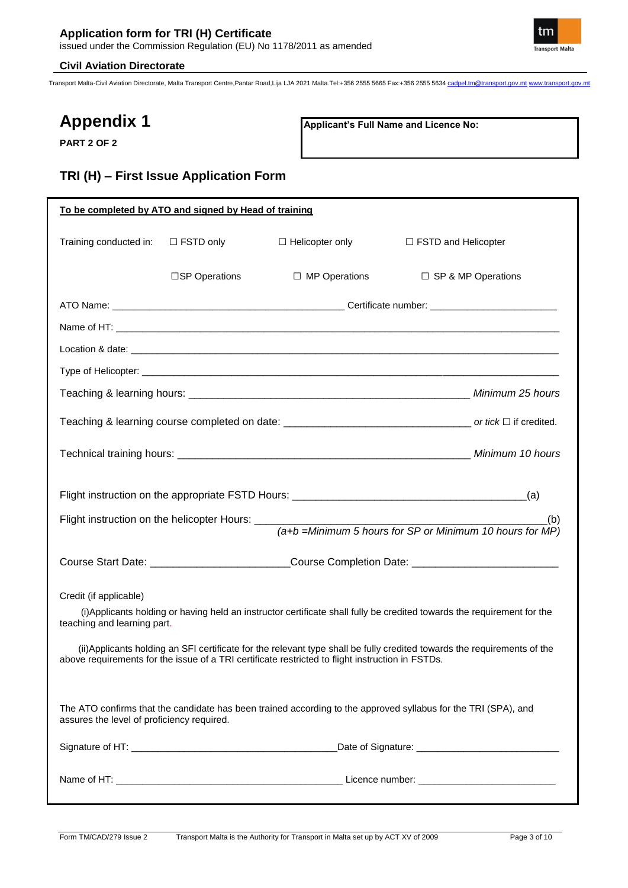

Transport Malta-Civil Aviation Directorate, Malta Transport Centre,Pantar Road,Lija LJA 2021 Malta.Tel:+356 2555 5665 Fax:+356 2555 5634 cadpel.tm@transport.gov.mt www.transport.gov.mt

# **Appendix 1**

**PART 2 OF 2**

**Applicant's Full Name and Licence No:**

# **TRI (H) – First Issue Application Form**

| To be completed by ATO and signed by Head of training |                  |                                                                                                  |                                                                                                                          |
|-------------------------------------------------------|------------------|--------------------------------------------------------------------------------------------------|--------------------------------------------------------------------------------------------------------------------------|
| Training conducted in:                                | $\Box$ FSTD only | $\Box$ Helicopter only                                                                           | $\Box$ FSTD and Helicopter                                                                                               |
|                                                       | □SP Operations   | $\Box$ MP Operations                                                                             | $\Box$ SP & MP Operations                                                                                                |
|                                                       |                  |                                                                                                  |                                                                                                                          |
|                                                       |                  |                                                                                                  |                                                                                                                          |
|                                                       |                  |                                                                                                  |                                                                                                                          |
|                                                       |                  |                                                                                                  |                                                                                                                          |
|                                                       |                  |                                                                                                  |                                                                                                                          |
|                                                       |                  |                                                                                                  |                                                                                                                          |
|                                                       |                  |                                                                                                  |                                                                                                                          |
|                                                       |                  |                                                                                                  |                                                                                                                          |
|                                                       |                  |                                                                                                  | (b)<br>$(a+b)$ =Minimum 5 hours for SP or Minimum 10 hours for MP)                                                       |
|                                                       |                  |                                                                                                  |                                                                                                                          |
|                                                       |                  |                                                                                                  | Course Start Date: ___________________________Course Completion Date: _____________________________                      |
| Credit (if applicable)                                |                  |                                                                                                  |                                                                                                                          |
| teaching and learning part.                           |                  |                                                                                                  | (i) Applicants holding or having held an instructor certificate shall fully be credited towards the requirement for the  |
|                                                       |                  | above requirements for the issue of a TRI certificate restricted to flight instruction in FSTDs. | (ii) Applicants holding an SFI certificate for the relevant type shall be fully credited towards the requirements of the |
| assures the level of proficiency required.            |                  |                                                                                                  | The ATO confirms that the candidate has been trained according to the approved syllabus for the TRI (SPA), and           |
|                                                       |                  |                                                                                                  |                                                                                                                          |
|                                                       |                  |                                                                                                  |                                                                                                                          |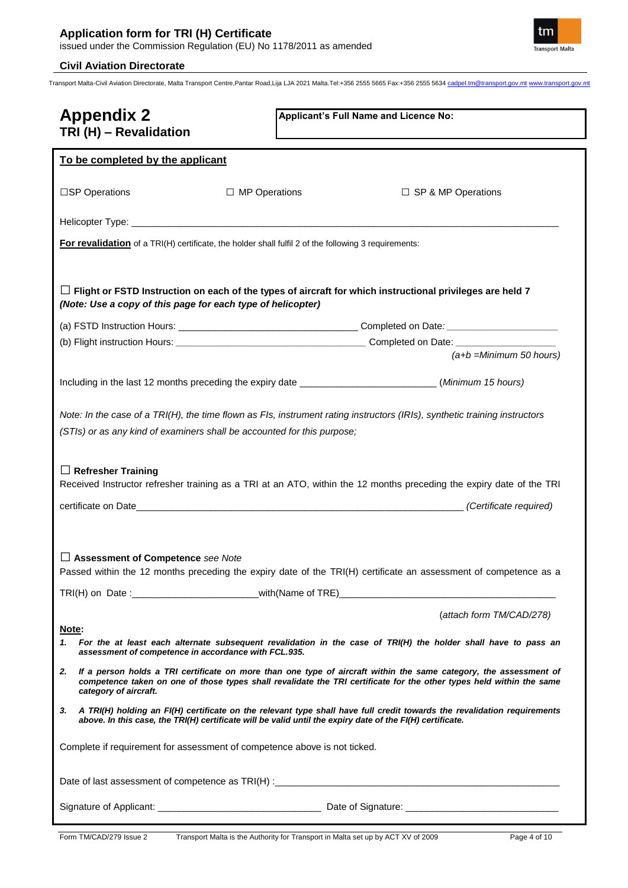

Transport Malta-Civil Aviation Directorate, Malta Transport Centre,Pantar Road,Lija LJA 2021 Malta.Tel:+356 2555 5665 Fax:+356 2555 5634 cadpel.tm@transport.gov.mt www.transport.gov.mt

| <b>Appendix 2</b><br>TRI (H) - Revalidation                                                          | Applicant's Full Name and Licence No:                                                                                                                                                                                                              |  |  |
|------------------------------------------------------------------------------------------------------|----------------------------------------------------------------------------------------------------------------------------------------------------------------------------------------------------------------------------------------------------|--|--|
| To be completed by the applicant                                                                     |                                                                                                                                                                                                                                                    |  |  |
| □SP Operations<br>$\Box$ MP Operations                                                               | $\Box$ SP & MP Operations                                                                                                                                                                                                                          |  |  |
|                                                                                                      |                                                                                                                                                                                                                                                    |  |  |
| For revalidation of a TRI(H) certificate, the holder shall fulfil 2 of the following 3 requirements: |                                                                                                                                                                                                                                                    |  |  |
| (Note: Use a copy of this page for each type of helicopter)                                          | $\Box$ Flight or FSTD Instruction on each of the types of aircraft for which instructional privileges are held 7                                                                                                                                   |  |  |
|                                                                                                      |                                                                                                                                                                                                                                                    |  |  |
|                                                                                                      | $(a+b)$ =Minimum 50 hours)                                                                                                                                                                                                                         |  |  |
|                                                                                                      |                                                                                                                                                                                                                                                    |  |  |
|                                                                                                      | Including in the last 12 months preceding the expiry date ________________________(Minimum 15 hours)                                                                                                                                               |  |  |
| (STIs) or as any kind of examiners shall be accounted for this purpose;<br>$\Box$ Refresher Training | Note: In the case of a TRI(H), the time flown as FIs, instrument rating instructors (IRIs), synthetic training instructors<br>Received Instructor refresher training as a TRI at an ATO, within the 12 months preceding the expiry date of the TRI |  |  |
|                                                                                                      |                                                                                                                                                                                                                                                    |  |  |
| Assessment of Competence see Note                                                                    | Passed within the 12 months preceding the expiry date of the TRI(H) certificate an assessment of competence as a                                                                                                                                   |  |  |
| Note:                                                                                                | (attach form TM/CAD/278)                                                                                                                                                                                                                           |  |  |
| assessment of competence in accordance with FCL.935.                                                 | 1. For the at least each alternate subsequent revalidation in the case of TRI(H) the holder shall have to pass an                                                                                                                                  |  |  |
| 2.<br>category of aircraft.                                                                          | If a person holds a TRI certificate on more than one type of aircraft within the same category, the assessment of<br>competence taken on one of those types shall revalidate the TRI certificate for the other types held within the same          |  |  |
| З.                                                                                                   | A TRI(H) holding an FI(H) certificate on the relevant type shall have full credit towards the revalidation requirements<br>above. In this case, the TRI(H) certificate will be valid until the expiry date of the FI(H) certificate.               |  |  |
| Complete if requirement for assessment of competence above is not ticked.                            |                                                                                                                                                                                                                                                    |  |  |
|                                                                                                      |                                                                                                                                                                                                                                                    |  |  |
|                                                                                                      |                                                                                                                                                                                                                                                    |  |  |

tm **Transport Malta**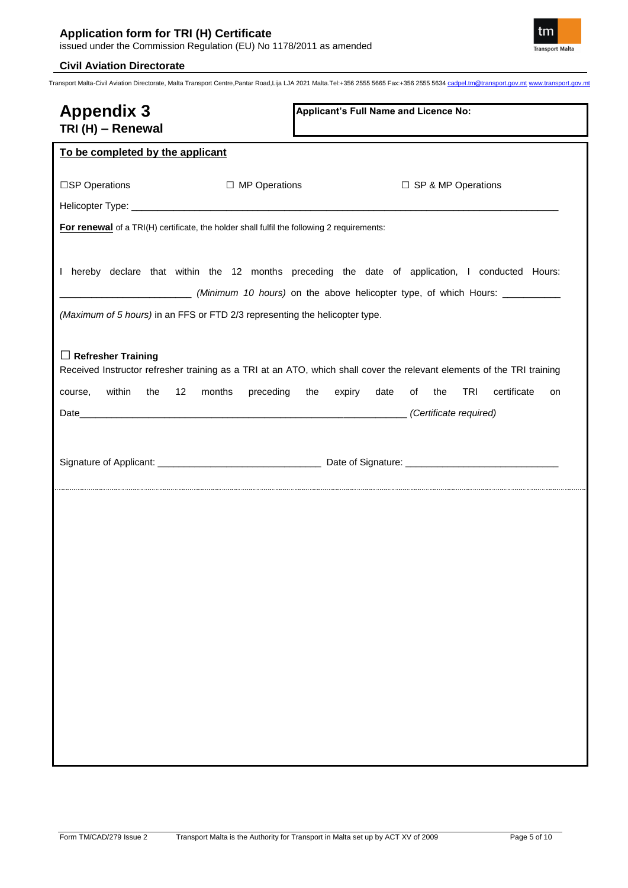

| <b>Appendix 3</b><br>TRI (H) - Renewal                                                                                                                                          |                      | Applicant's Full Name and Licence No: |                                    |
|---------------------------------------------------------------------------------------------------------------------------------------------------------------------------------|----------------------|---------------------------------------|------------------------------------|
| To be completed by the applicant                                                                                                                                                |                      |                                       |                                    |
| □SP Operations                                                                                                                                                                  | $\Box$ MP Operations |                                       | □ SP & MP Operations               |
|                                                                                                                                                                                 |                      |                                       |                                    |
| For renewal of a TRI(H) certificate, the holder shall fulfil the following 2 requirements:                                                                                      |                      |                                       |                                    |
| I hereby declare that within the 12 months preceding the date of application, I conducted Hours:<br>(Maximum of 5 hours) in an FFS or FTD 2/3 representing the helicopter type. |                      |                                       |                                    |
| $\Box$ Refresher Training<br>Received Instructor refresher training as a TRI at an ATO, which shall cover the relevant elements of the TRI training                             |                      |                                       |                                    |
| within<br>12<br>months<br>the<br>course,                                                                                                                                        |                      | preceding the expiry date             | TRI<br>certificate<br>of the<br>on |
|                                                                                                                                                                                 |                      |                                       |                                    |
|                                                                                                                                                                                 |                      |                                       |                                    |
|                                                                                                                                                                                 |                      |                                       |                                    |
|                                                                                                                                                                                 |                      |                                       |                                    |
|                                                                                                                                                                                 |                      |                                       |                                    |
|                                                                                                                                                                                 |                      |                                       |                                    |
|                                                                                                                                                                                 |                      |                                       |                                    |
|                                                                                                                                                                                 |                      |                                       |                                    |
|                                                                                                                                                                                 |                      |                                       |                                    |
|                                                                                                                                                                                 |                      |                                       |                                    |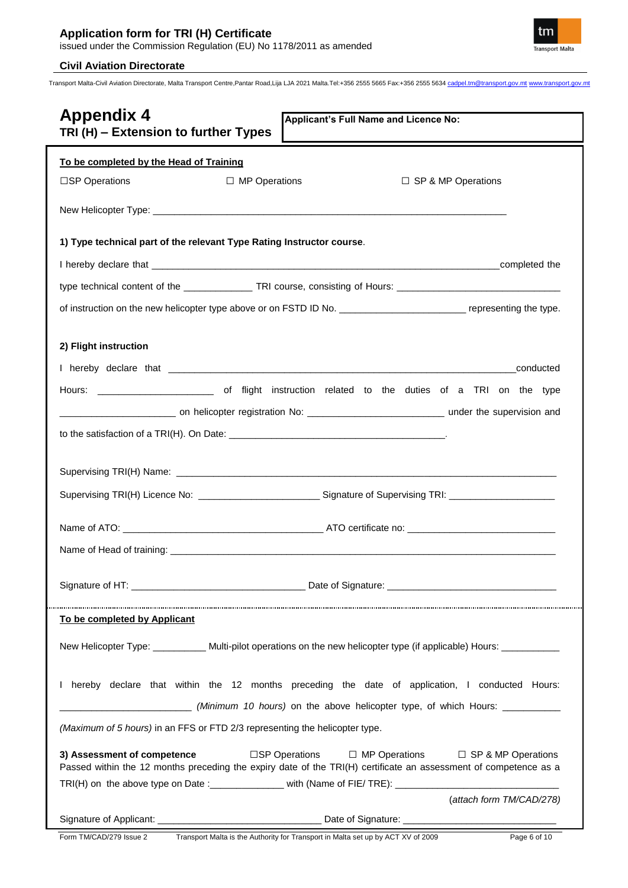

| <b>Appendix 4</b><br>Applicant's Full Name and Licence No:<br>TRI (H) - Extension to further Types                                                                                                                                                                                                                                    |
|---------------------------------------------------------------------------------------------------------------------------------------------------------------------------------------------------------------------------------------------------------------------------------------------------------------------------------------|
| To be completed by the Head of Training                                                                                                                                                                                                                                                                                               |
| □ MP Operations<br>$\Box$ SP & MP Operations<br>□SP Operations                                                                                                                                                                                                                                                                        |
|                                                                                                                                                                                                                                                                                                                                       |
| 1) Type technical part of the relevant Type Rating Instructor course.                                                                                                                                                                                                                                                                 |
|                                                                                                                                                                                                                                                                                                                                       |
| type technical content of the _________________TRI course, consisting of Hours: ______________________________                                                                                                                                                                                                                        |
| of instruction on the new helicopter type above or on FSTD ID No. _________________________________ representing the type.                                                                                                                                                                                                            |
| 2) Flight instruction                                                                                                                                                                                                                                                                                                                 |
| conducted                                                                                                                                                                                                                                                                                                                             |
|                                                                                                                                                                                                                                                                                                                                       |
|                                                                                                                                                                                                                                                                                                                                       |
|                                                                                                                                                                                                                                                                                                                                       |
|                                                                                                                                                                                                                                                                                                                                       |
|                                                                                                                                                                                                                                                                                                                                       |
| Supervising TRI(H) Licence No: ___________________________Signature of Supervising TRI: __________________                                                                                                                                                                                                                            |
| Name of ATO: And ATO certificate no:                                                                                                                                                                                                                                                                                                  |
|                                                                                                                                                                                                                                                                                                                                       |
|                                                                                                                                                                                                                                                                                                                                       |
| To be completed by Applicant                                                                                                                                                                                                                                                                                                          |
| New Helicopter Type: __________ Multi-pilot operations on the new helicopter type (if applicable) Hours: ________                                                                                                                                                                                                                     |
| I hereby declare that within the 12 months preceding the date of application, I conducted Hours:<br>(Minimum 10 hours) on the above helicopter type, of which Hours: _______________                                                                                                                                                  |
| (Maximum of 5 hours) in an FFS or FTD 2/3 representing the helicopter type.                                                                                                                                                                                                                                                           |
| 3) Assessment of competence<br>□SP Operations<br>$\Box$ MP Operations $\Box$ SP & MP Operations<br>Passed within the 12 months preceding the expiry date of the TRI(H) certificate an assessment of competence as a<br>TRI(H) on the above type on Date : _______________ with (Name of FIE/ TRE): __________________________________ |
| (attach form TM/CAD/278)                                                                                                                                                                                                                                                                                                              |
|                                                                                                                                                                                                                                                                                                                                       |
| Form TM/CAD/279 Issue 2<br>Transport Malta is the Authority for Transport in Malta set up by ACT XV of 2009<br>Page 6 of 10                                                                                                                                                                                                           |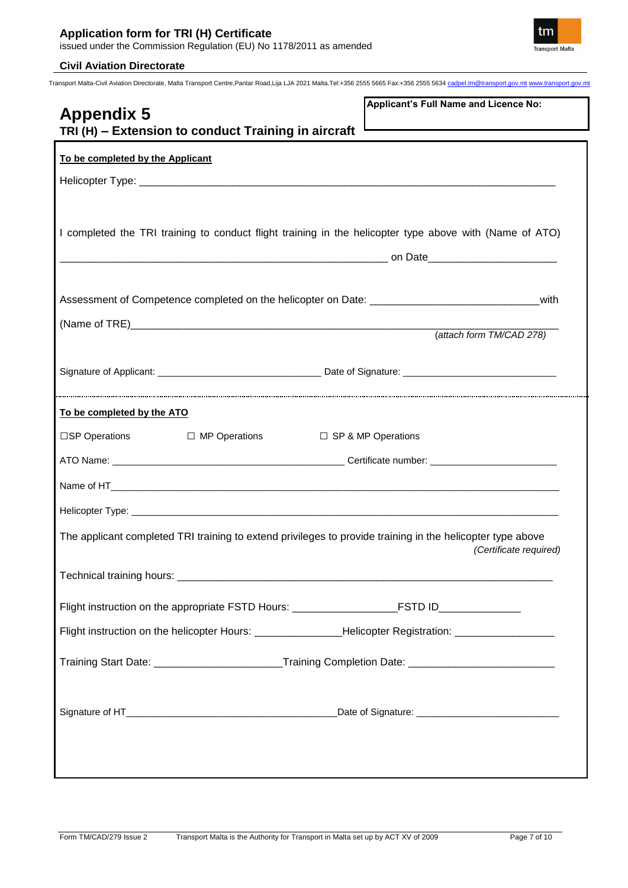

| Applicant's Full Name and Licence No:<br><b>Appendix 5</b><br>TRI (H) - Extension to conduct Training in aircraft                    |
|--------------------------------------------------------------------------------------------------------------------------------------|
| To be completed by the Applicant                                                                                                     |
|                                                                                                                                      |
| I completed the TRI training to conduct flight training in the helicopter type above with (Name of ATO)                              |
| Assessment of Competence completed on the helicopter on Date: ___________________________________with                                |
|                                                                                                                                      |
| (attach form TM/CAD 278)                                                                                                             |
|                                                                                                                                      |
|                                                                                                                                      |
| To be completed by the ATO                                                                                                           |
| $\square$ SP Operations $\square$ MP Operations $\square$ SP & MP Operations                                                         |
|                                                                                                                                      |
|                                                                                                                                      |
|                                                                                                                                      |
| The applicant completed TRI training to extend privileges to provide training in the helicopter type above<br>(Certificate required) |
|                                                                                                                                      |
| Flight instruction on the appropriate FSTD Hours: _______________________________                                                    |
| Flight instruction on the helicopter Hours: _________________Helicopter Registration: ____________________                           |
| Training Start Date: __________________________Training Completion Date: __________________________                                  |
|                                                                                                                                      |
|                                                                                                                                      |
|                                                                                                                                      |
|                                                                                                                                      |
|                                                                                                                                      |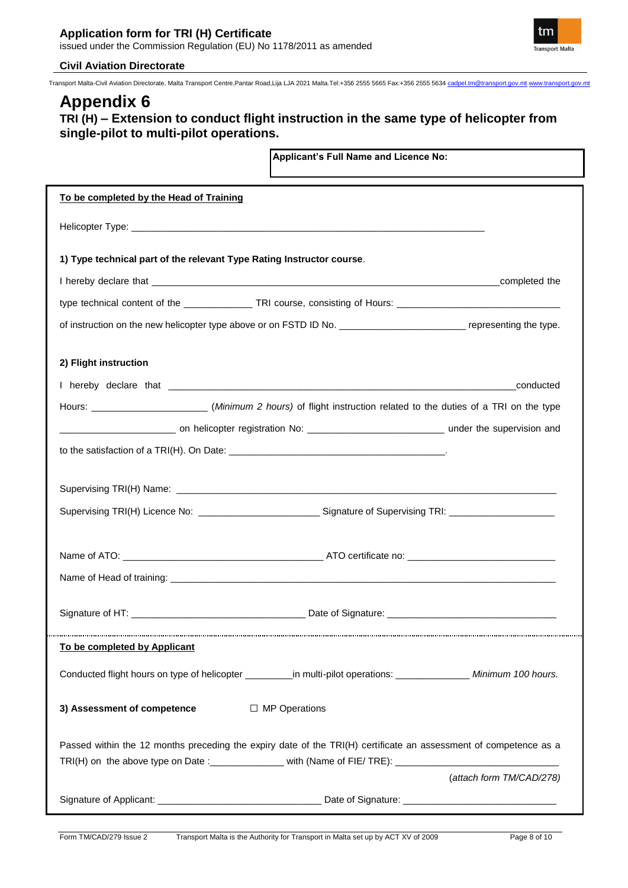

Transport Malta-Civil Aviation Directorate, Malta Transport Centre,Pantar Road,Lija LJA 2021 Malta.Tel:+356 2555 5665 Fax:+356 2555 5634 cadpel.tm@transport.gov.mt www.transport.gov.mt

# **Appendix 6**

# **TRI (H) – Extension to conduct flight instruction in the same type of helicopter from single-pilot to multi-pilot operations.**

**Applicant's Full Name and Licence No:**

| To be completed by the Head of Training                               |                                                                                                                          |                          |
|-----------------------------------------------------------------------|--------------------------------------------------------------------------------------------------------------------------|--------------------------|
|                                                                       |                                                                                                                          |                          |
| 1) Type technical part of the relevant Type Rating Instructor course. |                                                                                                                          |                          |
|                                                                       |                                                                                                                          |                          |
|                                                                       | type technical content of the ________________TRI course, consisting of Hours: _______________________________           |                          |
|                                                                       | of instruction on the new helicopter type above or on FSTD ID No. _______________________________ representing the type. |                          |
| 2) Flight instruction                                                 |                                                                                                                          |                          |
|                                                                       |                                                                                                                          |                          |
|                                                                       |                                                                                                                          |                          |
|                                                                       |                                                                                                                          |                          |
|                                                                       |                                                                                                                          |                          |
|                                                                       |                                                                                                                          |                          |
|                                                                       |                                                                                                                          |                          |
|                                                                       | Supervising TRI(H) Licence No: ___________________________Signature of Supervising TRI: ______________________           |                          |
|                                                                       |                                                                                                                          |                          |
|                                                                       |                                                                                                                          |                          |
|                                                                       |                                                                                                                          |                          |
|                                                                       |                                                                                                                          |                          |
| To be completed by Applicant                                          |                                                                                                                          |                          |
|                                                                       | Conducted flight hours on type of helicopter ___________in multi-pilot operations: ________________ Minimum 100 hours.   |                          |
| 3) Assessment of competence                                           | $\Box$ MP Operations                                                                                                     |                          |
|                                                                       | Passed within the 12 months preceding the expiry date of the TRI(H) certificate an assessment of competence as a         |                          |
|                                                                       | TRI(H) on the above type on Date : _______________ with (Name of FIE/ TRE): ________________________                     |                          |
|                                                                       |                                                                                                                          | (attach form TM/CAD/278) |
|                                                                       |                                                                                                                          |                          |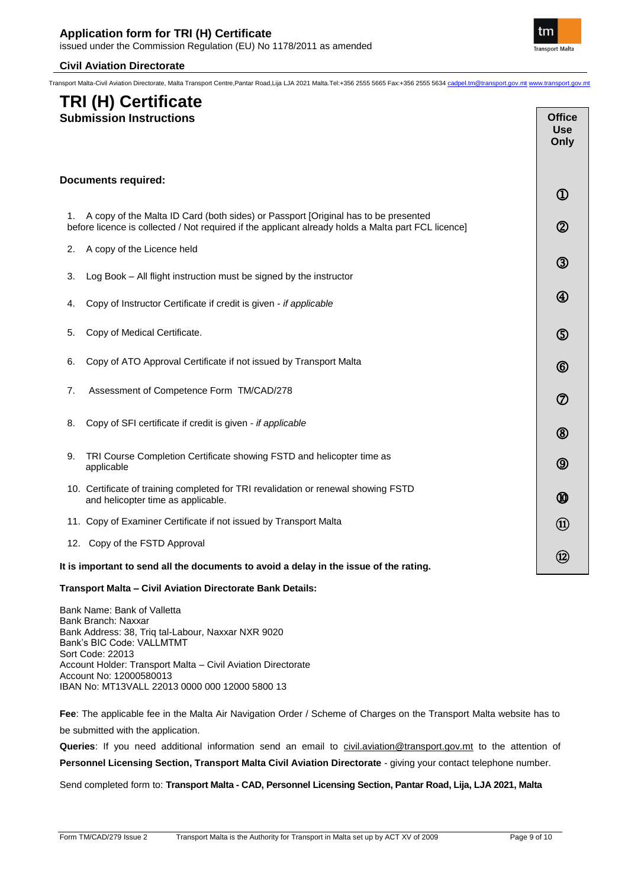Transport Malta-Civil Aviation Directorate, Malta Transport Centre,Pantar Road,Lija LJA 2021 Malta.Tel:+356 2555 5665 Fax:+356 2555 5634 cadpel.tm@transport.gov.mt www.transport.gov.mt

# **TRI (H) Certificate**

|    | <b>Submission Instructions</b>                                                                                                                                                            | <b>Office</b><br><b>Use</b><br>Only |
|----|-------------------------------------------------------------------------------------------------------------------------------------------------------------------------------------------|-------------------------------------|
|    | <b>Documents required:</b>                                                                                                                                                                | $^{\textcircled{\footnotesize{1}}}$ |
| 1. | A copy of the Malta ID Card (both sides) or Passport [Original has to be presented<br>before licence is collected / Not required if the applicant already holds a Malta part FCL licence] | $^{\circledR}$                      |
| 2. | A copy of the Licence held                                                                                                                                                                | ③                                   |
| 3. | Log Book - All flight instruction must be signed by the instructor                                                                                                                        |                                     |
| 4. | Copy of Instructor Certificate if credit is given - if applicable                                                                                                                         | ④                                   |
| 5. | Copy of Medical Certificate.                                                                                                                                                              | ௫                                   |
| 6. | Copy of ATO Approval Certificate if not issued by Transport Malta                                                                                                                         | $^\circledR$                        |
| 7. | Assessment of Competence Form TM/CAD/278                                                                                                                                                  | ⑦                                   |
| 8. | Copy of SFI certificate if credit is given - if applicable                                                                                                                                | $^\circledR$                        |
| 9. | TRI Course Completion Certificate showing FSTD and helicopter time as<br>applicable                                                                                                       | ⑨                                   |
|    | 10. Certificate of training completed for TRI revalidation or renewal showing FSTD<br>and helicopter time as applicable.                                                                  | ⅏                                   |
|    | 11. Copy of Examiner Certificate if not issued by Transport Malta                                                                                                                         | $\textcircled{\scriptsize{1}}$      |
|    | 12. Copy of the FSTD Approval                                                                                                                                                             |                                     |
|    | It is important to send all the documents to avoid a delay in the issue of the rating.                                                                                                    | $\circledR$                         |
|    | Transnort Malta - Civil Aviation Directorate Rank Details:                                                                                                                                |                                     |

#### **Transport Malta – Civil Aviation Directorate Bank Details:**

Bank Name: Bank of Valletta Bank Branch: Naxxar Bank Address: 38, Triq tal-Labour, Naxxar NXR 9020 Bank's BIC Code: VALLMTMT Sort Code: 22013 Account Holder: Transport Malta – Civil Aviation Directorate Account No: 12000580013 IBAN No: MT13VALL 22013 0000 000 12000 5800 13

**Fee**: The applicable fee in the Malta Air Navigation Order / Scheme of Charges on the Transport Malta website has to be submitted with the application.

**Queries**: If you need additional information send an email to [civil.aviation@transport.gov.mt](mailto:civil.aviation@transport.gov.mt) to the attention of **Personnel Licensing Section, Transport Malta Civil Aviation Directorate** - giving your contact telephone number.

Send completed form to: **Transport Malta - CAD, Personnel Licensing Section, Pantar Road, Lija, LJA 2021, Malta**



**The Common**